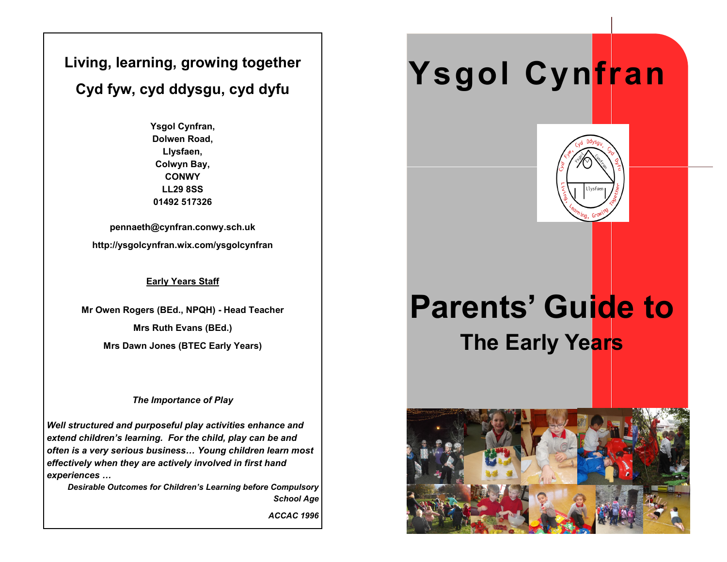### **Living, learning, growing together Cyd fyw, cyd ddysgu, cyd dyfu**

**Ysgol Cynfran, Dolwen Road, Llysfaen, Colwyn Bay, CONWY LL29 8SS 01492 517326**

**pennaeth@cynfran.conwy.sch.uk http://ysgolcynfran.wix.com/ysgolcynfran**

#### **Early Years Staff**

**Mr Owen Rogers (BEd., NPQH) - Head Teacher Mrs Ruth Evans (BEd.) Mrs Dawn Jones (BTEC Early Years)**

#### *The Importance of Play*

*Well structured and purposeful play activities enhance and extend children's learning. For the child, play can be and often is a very serious business… Young children learn most effectively when they are actively involved in first hand experiences …*

*Desirable Outcomes for Children's Learning before Compulsory School Age*

*ACCAC 1996*

# **Ysgol Cynfran**



## **Parents' Guide to The Early Years**